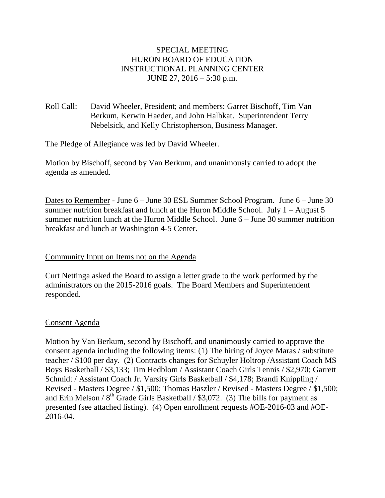# SPECIAL MEETING HURON BOARD OF EDUCATION INSTRUCTIONAL PLANNING CENTER JUNE 27, 2016 – 5:30 p.m.

# Roll Call: David Wheeler, President; and members: Garret Bischoff, Tim Van Berkum, Kerwin Haeder, and John Halbkat. Superintendent Terry Nebelsick, and Kelly Christopherson, Business Manager.

The Pledge of Allegiance was led by David Wheeler.

Motion by Bischoff, second by Van Berkum, and unanimously carried to adopt the agenda as amended.

Dates to Remember - June 6 – June 30 ESL Summer School Program. June 6 – June 30 summer nutrition breakfast and lunch at the Huron Middle School. July  $1 -$ August 5 summer nutrition lunch at the Huron Middle School. June 6 – June 30 summer nutrition breakfast and lunch at Washington 4-5 Center.

# Community Input on Items not on the Agenda

Curt Nettinga asked the Board to assign a letter grade to the work performed by the administrators on the 2015-2016 goals. The Board Members and Superintendent responded.

#### Consent Agenda

Motion by Van Berkum, second by Bischoff, and unanimously carried to approve the consent agenda including the following items: (1) The hiring of Joyce Maras / substitute teacher / \$100 per day. (2) Contracts changes for Schuyler Holtrop /Assistant Coach MS Boys Basketball / \$3,133; Tim Hedblom / Assistant Coach Girls Tennis / \$2,970; Garrett Schmidt / Assistant Coach Jr. Varsity Girls Basketball / \$4,178; Brandi Knippling / Revised - Masters Degree / \$1,500; Thomas Baszler / Revised - Masters Degree / \$1,500; and Erin Melson /  $8<sup>th</sup>$  Grade Girls Basketball / \$3,072. (3) The bills for payment as presented (see attached listing). (4) Open enrollment requests #OE-2016-03 and #OE-2016-04.